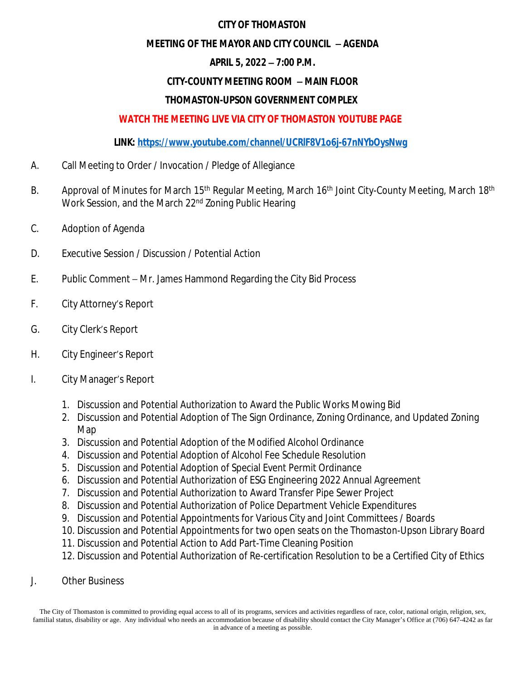#### **CITY OF THOMASTON**

#### **MEETING OF THE MAYOR AND CITY COUNCIL** – **AGENDA**

# **APRIL 5, 2022** – **7:00 P.M.**

# **CITY-COUNTY MEETING ROOM** – **MAIN FLOOR**

#### **THOMASTON-UPSON GOVERNMENT COMPLEX**

# **WATCH THE MEETING LIVE VIA CITY OF THOMASTON YOUTUBE PAGE**

# **LINK: <https://www.youtube.com/channel/UCRlF8V1o6j-67nNYbOysNwg>**

- A. Call Meeting to Order / Invocation / Pledge of Allegiance
- B. Approval of Minutes for March 15<sup>th</sup> Regular Meeting, March 16<sup>th</sup> Joint City-County Meeting, March 18<sup>th</sup> Work Session, and the March 22<sup>nd</sup> Zoning Public Hearing
- C. Adoption of Agenda
- D. Executive Session / Discussion / Potential Action
- E. Public Comment Mr. James Hammond Regarding the City Bid Process
- F. City Attorney's Report
- G. City Clerk's Report
- H. City Engineer's Report
- I. City Manager's Report
	- 1. Discussion and Potential Authorization to Award the Public Works Mowing Bid
	- 2. Discussion and Potential Adoption of The Sign Ordinance, Zoning Ordinance, and Updated Zoning Map
	- 3. Discussion and Potential Adoption of the Modified Alcohol Ordinance
	- 4. Discussion and Potential Adoption of Alcohol Fee Schedule Resolution
	- 5. Discussion and Potential Adoption of Special Event Permit Ordinance
	- 6. Discussion and Potential Authorization of ESG Engineering 2022 Annual Agreement
	- 7. Discussion and Potential Authorization to Award Transfer Pipe Sewer Project
	- 8. Discussion and Potential Authorization of Police Department Vehicle Expenditures
	- 9. Discussion and Potential Appointments for Various City and Joint Committees / Boards
	- 10. Discussion and Potential Appointments for two open seats on the Thomaston-Upson Library Board
	- 11. Discussion and Potential Action to Add Part-Time Cleaning Position
	- 12. Discussion and Potential Authorization of Re-certification Resolution to be a Certified City of Ethics
- J. Other Business

The City of Thomaston is committed to providing equal access to all of its programs, services and activities regardless of race, color, national origin, religion, sex, familial status, disability or age. Any individual who needs an accommodation because of disability should contact the City Manager's Office at (706) 647-4242 as far in advance of a meeting as possible.